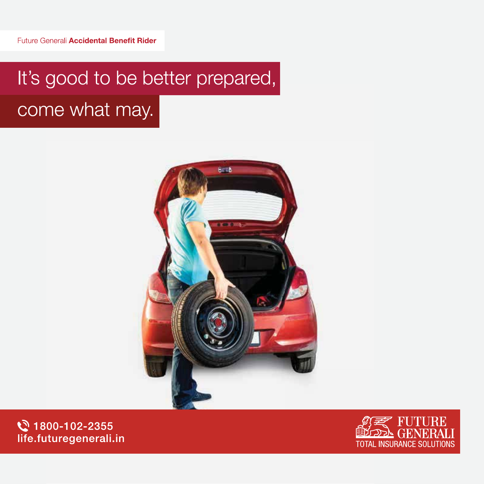# It's good to be better prepared, come what may.



₹ 1800-102-2355 life.futuregenerali.in

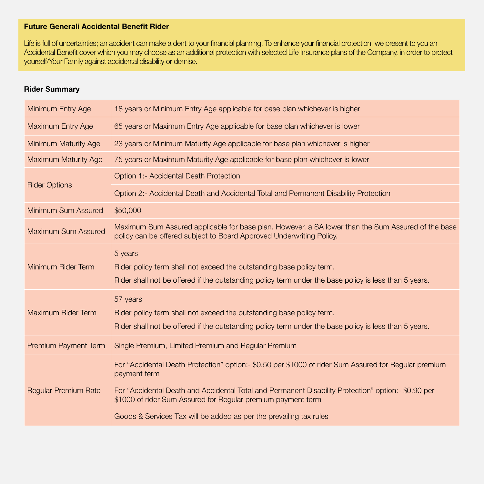### **Future Generali Accidental Benefit Rider**

Life is full of uncertainties; an accident can make a dent to your financial planning. To enhance your financial protection, we present to you an Accidental Benefit cover which you may choose as an additional protection with selected Life Insurance plans of the Company, in order to protect yourself/Your Family against accidental disability or demise.

### **Rider Summary**

| Minimum Entry Age           | 18 years or Minimum Entry Age applicable for base plan whichever is higher                                                                                                                                                                                                                                                                                         |
|-----------------------------|--------------------------------------------------------------------------------------------------------------------------------------------------------------------------------------------------------------------------------------------------------------------------------------------------------------------------------------------------------------------|
| <b>Maximum Entry Age</b>    | 65 years or Maximum Entry Age applicable for base plan whichever is lower                                                                                                                                                                                                                                                                                          |
| <b>Minimum Maturity Age</b> | 23 years or Minimum Maturity Age applicable for base plan whichever is higher                                                                                                                                                                                                                                                                                      |
| <b>Maximum Maturity Age</b> | 75 years or Maximum Maturity Age applicable for base plan whichever is lower                                                                                                                                                                                                                                                                                       |
| <b>Rider Options</b>        | Option 1:- Accidental Death Protection                                                                                                                                                                                                                                                                                                                             |
|                             | Option 2:- Accidental Death and Accidental Total and Permanent Disability Protection                                                                                                                                                                                                                                                                               |
| Minimum Sum Assured         | \$50,000                                                                                                                                                                                                                                                                                                                                                           |
| <b>Maximum Sum Assured</b>  | Maximum Sum Assured applicable for base plan. However, a SA lower than the Sum Assured of the base<br>policy can be offered subject to Board Approved Underwriting Policy.                                                                                                                                                                                         |
| Minimum Rider Term          | 5 years<br>Rider policy term shall not exceed the outstanding base policy term.<br>Rider shall not be offered if the outstanding policy term under the base policy is less than 5 years.                                                                                                                                                                           |
| Maximum Rider Term          | 57 years<br>Rider policy term shall not exceed the outstanding base policy term.<br>Rider shall not be offered if the outstanding policy term under the base policy is less than 5 years.                                                                                                                                                                          |
| Premium Payment Term        | Single Premium, Limited Premium and Regular Premium                                                                                                                                                                                                                                                                                                                |
| <b>Regular Premium Rate</b> | For "Accidental Death Protection" option:- \$0.50 per \$1000 of rider Sum Assured for Regular premium<br>payment term<br>For "Accidental Death and Accidental Total and Permanent Disability Protection" option:- \$0.90 per<br>\$1000 of rider Sum Assured for Regular premium payment term<br>Goods & Services Tax will be added as per the prevailing tax rules |
|                             |                                                                                                                                                                                                                                                                                                                                                                    |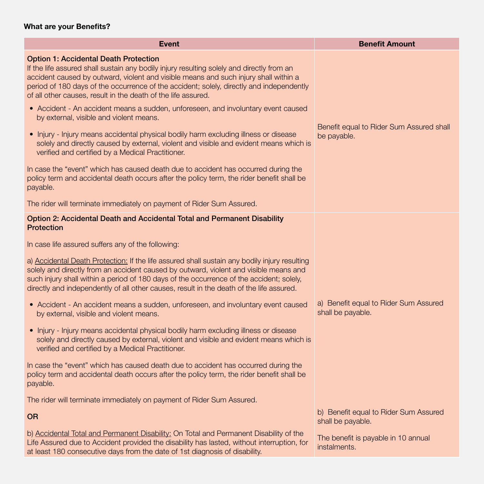### **What are your Benefits?**

| <b>Event</b>                                                                                                                                                                                                                                                                                                                                                                                   | <b>Benefit Amount</b>                                      |  |
|------------------------------------------------------------------------------------------------------------------------------------------------------------------------------------------------------------------------------------------------------------------------------------------------------------------------------------------------------------------------------------------------|------------------------------------------------------------|--|
| <b>Option 1: Accidental Death Protection</b><br>If the life assured shall sustain any bodily injury resulting solely and directly from an<br>accident caused by outward, violent and visible means and such injury shall within a<br>period of 180 days of the occurrence of the accident; solely, directly and independently<br>of all other causes, result in the death of the life assured. |                                                            |  |
| • Accident - An accident means a sudden, unforeseen, and involuntary event caused<br>by external, visible and violent means.                                                                                                                                                                                                                                                                   |                                                            |  |
| • Injury - Injury means accidental physical bodily harm excluding illness or disease<br>solely and directly caused by external, violent and visible and evident means which is<br>verified and certified by a Medical Practitioner.                                                                                                                                                            | Benefit equal to Rider Sum Assured shall<br>be payable.    |  |
| In case the "event" which has caused death due to accident has occurred during the<br>policy term and accidental death occurs after the policy term, the rider benefit shall be<br>payable.                                                                                                                                                                                                    |                                                            |  |
| The rider will terminate immediately on payment of Rider Sum Assured.                                                                                                                                                                                                                                                                                                                          |                                                            |  |
| Option 2: Accidental Death and Accidental Total and Permanent Disability<br><b>Protection</b>                                                                                                                                                                                                                                                                                                  |                                                            |  |
| In case life assured suffers any of the following:                                                                                                                                                                                                                                                                                                                                             |                                                            |  |
| a) Accidental Death Protection: If the life assured shall sustain any bodily injury resulting<br>solely and directly from an accident caused by outward, violent and visible means and<br>such injury shall within a period of 180 days of the occurrence of the accident; solely,<br>directly and independently of all other causes, result in the death of the life assured.                 |                                                            |  |
| • Accident - An accident means a sudden, unforeseen, and involuntary event caused<br>by external, visible and violent means.                                                                                                                                                                                                                                                                   | a) Benefit equal to Rider Sum Assured<br>shall be payable. |  |
| • Injury - Injury means accidental physical bodily harm excluding illness or disease<br>solely and directly caused by external, violent and visible and evident means which is<br>verified and certified by a Medical Practitioner.                                                                                                                                                            |                                                            |  |
| In case the "event" which has caused death due to accident has occurred during the<br>policy term and accidental death occurs after the policy term, the rider benefit shall be<br>payable.                                                                                                                                                                                                    |                                                            |  |
| The rider will terminate immediately on payment of Rider Sum Assured.                                                                                                                                                                                                                                                                                                                          |                                                            |  |
| <b>OR</b>                                                                                                                                                                                                                                                                                                                                                                                      | b) Benefit equal to Rider Sum Assured<br>shall be payable. |  |
| b) Accidental Total and Permanent Disability: On Total and Permanent Disability of the<br>Life Assured due to Accident provided the disability has lasted, without interruption, for<br>at least 180 consecutive days from the date of 1st diagnosis of disability.                                                                                                                            | The benefit is payable in 10 annual<br>instalments.        |  |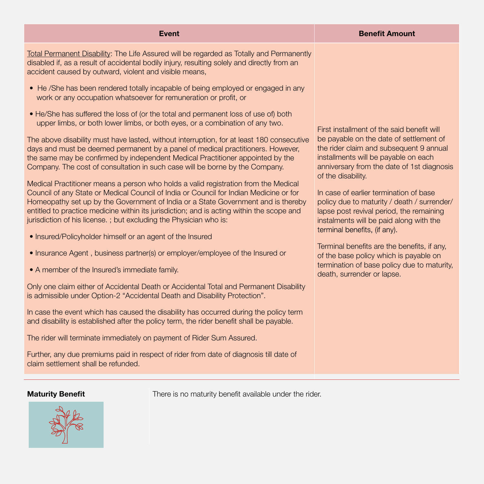| <b>Event</b>                                                                                                                                                                                                                                                                                                                                                                                                                                                                                                                                                                                                                                                                                                                                                                                                                                                                                                                                                                                                                                                                                                                                                                                                                                                                                                                                                                                                                                                                                                                                                                                                                                                                                                                                                                                                                                                                                                                                                                                                                                                                                                                                     | <b>Benefit Amount</b>                                                                                                                                                                                                                                                                                                                                                                                                                                                                                                                                                                                                              |
|--------------------------------------------------------------------------------------------------------------------------------------------------------------------------------------------------------------------------------------------------------------------------------------------------------------------------------------------------------------------------------------------------------------------------------------------------------------------------------------------------------------------------------------------------------------------------------------------------------------------------------------------------------------------------------------------------------------------------------------------------------------------------------------------------------------------------------------------------------------------------------------------------------------------------------------------------------------------------------------------------------------------------------------------------------------------------------------------------------------------------------------------------------------------------------------------------------------------------------------------------------------------------------------------------------------------------------------------------------------------------------------------------------------------------------------------------------------------------------------------------------------------------------------------------------------------------------------------------------------------------------------------------------------------------------------------------------------------------------------------------------------------------------------------------------------------------------------------------------------------------------------------------------------------------------------------------------------------------------------------------------------------------------------------------------------------------------------------------------------------------------------------------|------------------------------------------------------------------------------------------------------------------------------------------------------------------------------------------------------------------------------------------------------------------------------------------------------------------------------------------------------------------------------------------------------------------------------------------------------------------------------------------------------------------------------------------------------------------------------------------------------------------------------------|
| Total Permanent Disability: The Life Assured will be regarded as Totally and Permanently<br>disabled if, as a result of accidental bodily injury, resulting solely and directly from an<br>accident caused by outward, violent and visible means,<br>• He /She has been rendered totally incapable of being employed or engaged in any<br>work or any occupation whatsoever for remuneration or profit, or<br>• He/She has suffered the loss of (or the total and permanent loss of use of) both<br>upper limbs, or both lower limbs, or both eyes, or a combination of any two.<br>The above disability must have lasted, without interruption, for at least 180 consecutive<br>days and must be deemed permanent by a panel of medical practitioners. However,<br>the same may be confirmed by independent Medical Practitioner appointed by the<br>Company. The cost of consultation in such case will be borne by the Company.<br>Medical Practitioner means a person who holds a valid registration from the Medical<br>Council of any State or Medical Council of India or Council for Indian Medicine or for<br>Homeopathy set up by the Government of India or a State Government and is thereby<br>entitled to practice medicine within its jurisdiction; and is acting within the scope and<br>jurisdiction of his license.; but excluding the Physician who is:<br>• Insured/Policyholder himself or an agent of the Insured<br>• Insurance Agent, business partner(s) or employer/employee of the Insured or<br>• A member of the Insured's immediate family.<br>Only one claim either of Accidental Death or Accidental Total and Permanent Disability<br>is admissible under Option-2 "Accidental Death and Disability Protection".<br>In case the event which has caused the disability has occurred during the policy term<br>and disability is established after the policy term, the rider benefit shall be payable.<br>The rider will terminate immediately on payment of Rider Sum Assured.<br>Further, any due premiums paid in respect of rider from date of diagnosis till date of<br>claim settlement shall be refunded. | First installment of the said benefit will<br>be payable on the date of settlement of<br>the rider claim and subsequent 9 annual<br>installments will be payable on each<br>anniversary from the date of 1st diagnosis<br>of the disability.<br>In case of earlier termination of base<br>policy due to maturity / death / surrender/<br>lapse post revival period, the remaining<br>instalments will be paid along with the<br>terminal benefits, (if any).<br>Terminal benefits are the benefits, if any,<br>of the base policy which is payable on<br>termination of base policy due to maturity,<br>death, surrender or lapse. |



**Maturity Benefit** There is no maturity benefit available under the rider.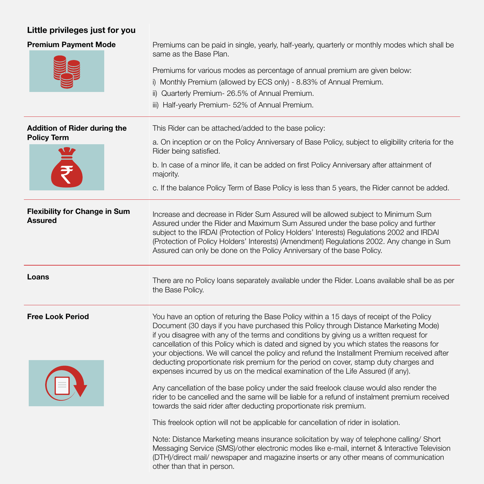## **Little privileges just for you**

| <b>Premium Payment Mode</b>                               | Premiums can be paid in single, yearly, half-yearly, quarterly or monthly modes which shall be<br>same as the Base Plan.<br>Premiums for various modes as percentage of annual premium are given below:<br>i) Monthly Premium (allowed by ECS only) - 8.83% of Annual Premium.<br>ii) Quarterly Premium- 26.5% of Annual Premium.<br>iii) Half-yearly Premium- 52% of Annual Premium.                                                                                                                                                                                                                                                                                                                                                                                                                                                                                                                                   |
|-----------------------------------------------------------|-------------------------------------------------------------------------------------------------------------------------------------------------------------------------------------------------------------------------------------------------------------------------------------------------------------------------------------------------------------------------------------------------------------------------------------------------------------------------------------------------------------------------------------------------------------------------------------------------------------------------------------------------------------------------------------------------------------------------------------------------------------------------------------------------------------------------------------------------------------------------------------------------------------------------|
| <b>Addition of Rider during the</b><br><b>Policy Term</b> | This Rider can be attached/added to the base policy:<br>a. On inception or on the Policy Anniversary of Base Policy, subject to eligibility criteria for the<br>Rider being satisfied.<br>b. In case of a minor life, it can be added on first Policy Anniversary after attainment of<br>majority.<br>c. If the balance Policy Term of Base Policy is less than 5 years, the Rider cannot be added.                                                                                                                                                                                                                                                                                                                                                                                                                                                                                                                     |
| <b>Flexibility for Change in Sum</b><br><b>Assured</b>    | Increase and decrease in Rider Sum Assured will be allowed subject to Minimum Sum<br>Assured under the Rider and Maximum Sum Assured under the base policy and further<br>subject to the IRDAI (Protection of Policy Holders' Interests) Regulations 2002 and IRDAI<br>(Protection of Policy Holders' Interests) (Amendment) Regulations 2002. Any change in Sum<br>Assured can only be done on the Policy Anniversary of the base Policy.                                                                                                                                                                                                                                                                                                                                                                                                                                                                              |
| Loans                                                     | There are no Policy loans separately available under the Rider. Loans available shall be as per<br>the Base Policy.                                                                                                                                                                                                                                                                                                                                                                                                                                                                                                                                                                                                                                                                                                                                                                                                     |
| <b>Free Look Period</b>                                   | You have an option of returing the Base Policy within a 15 days of receipt of the Policy<br>Document (30 days if you have purchased this Policy through Distance Marketing Mode)<br>if you disagree with any of the terms and conditions by giving us a written request for<br>cancellation of this Policy which is dated and signed by you which states the reasons for<br>your objections. We will cancel the policy and refund the Installment Premium received after<br>deducting proportionate risk premium for the period on cover, stamp duty charges and<br>expenses incurred by us on the medical examination of the Life Assured (if any).<br>Any cancellation of the base policy under the said freelook clause would also render the<br>rider to be cancelled and the same will be liable for a refund of instalment premium received<br>towards the said rider after deducting proportionate risk premium. |
|                                                           | This freelook option will not be applicable for cancellation of rider in isolation.<br>Note: Distance Marketing means insurance solicitation by way of telephone calling/ Short<br>Messaging Service (SMS)/other electronic modes like e-mail, internet & Interactive Television<br>(DTH)/direct mail/ newspaper and magazine inserts or any other means of communication<br>other than that in person.                                                                                                                                                                                                                                                                                                                                                                                                                                                                                                                 |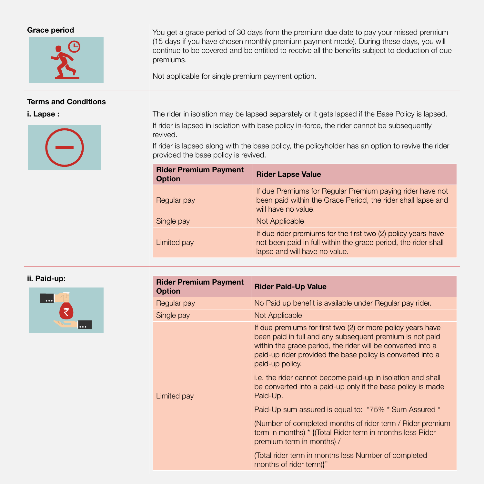

#### **Terms and Conditions**



**Grace period** You get a grace period of 30 days from the premium due date to pay your missed premium (15 days if you have chosen monthly premium payment mode). During these days, you will continue to be covered and be entitled to receive all the benefits subject to deduction of due premiums.

Not applicable for single premium payment option.

**i. Lapse :** The rider in isolation may be lapsed separately or it gets lapsed if the Base Policy is lapsed. If rider is lapsed in isolation with base policy in-force, the rider cannot be subsequently revived.

> If rider is lapsed along with the base policy, the policyholder has an option to revive the rider provided the base policy is revived.

| <b>Rider Premium Payment</b><br><b>Option</b> | <b>Rider Lapse Value</b>                                                                                                                                         |
|-----------------------------------------------|------------------------------------------------------------------------------------------------------------------------------------------------------------------|
| Regular pay                                   | If due Premiums for Regular Premium paying rider have not<br>been paid within the Grace Period, the rider shall lapse and<br>will have no value.                 |
| Single pay                                    | Not Applicable                                                                                                                                                   |
| Limited pay                                   | If due rider premiums for the first two (2) policy years have<br>not been paid in full within the grace period, the rider shall<br>lapse and will have no value. |

**ii. Paid-up:** 



| <b>Rider Premium Payment</b><br><b>Option</b> | <b>Rider Paid-Up Value</b>                                                                                                                                                                                                                                              |
|-----------------------------------------------|-------------------------------------------------------------------------------------------------------------------------------------------------------------------------------------------------------------------------------------------------------------------------|
| Regular pay                                   | No Paid up benefit is available under Regular pay rider.                                                                                                                                                                                                                |
| Single pay                                    | Not Applicable                                                                                                                                                                                                                                                          |
|                                               | If due premiums for first two (2) or more policy years have<br>been paid in full and any subsequent premium is not paid<br>within the grace period, the rider will be converted into a<br>paid-up rider provided the base policy is converted into a<br>paid-up policy. |
| Limited pay                                   | i.e. the rider cannot become paid-up in isolation and shall<br>be converted into a paid-up only if the base policy is made<br>Paid-Up.                                                                                                                                  |
|                                               | Paid-Up sum assured is equal to: "75% * Sum Assured *                                                                                                                                                                                                                   |
|                                               | (Number of completed months of rider term / Rider premium<br>term in months) * {(Total Rider term in months less Rider<br>premium term in months) /                                                                                                                     |
|                                               | (Total rider term in months less Number of completed<br>months of rider term)}"                                                                                                                                                                                         |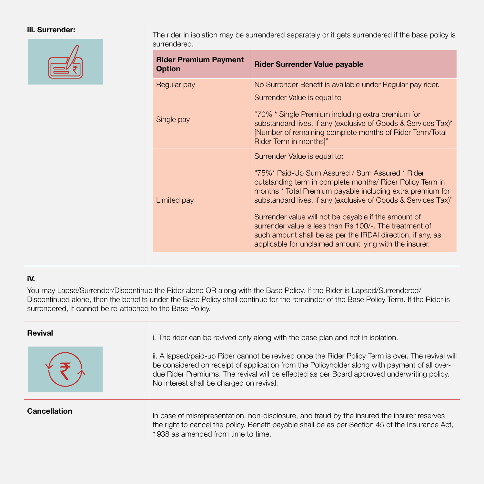

**iii. Surrender:** The rider in isolation may be surrendered separately or it gets surrendered if the base policy is surrendered.

| <b>Rider Premium Payment</b><br><b>Option</b> | <b>Rider Surrender Value payable</b>                                                                                                                                                                                                                                                                                                                                                                                                                                                                                      |
|-----------------------------------------------|---------------------------------------------------------------------------------------------------------------------------------------------------------------------------------------------------------------------------------------------------------------------------------------------------------------------------------------------------------------------------------------------------------------------------------------------------------------------------------------------------------------------------|
| Regular pay                                   | No Surrender Benefit is available under Regular pay rider.                                                                                                                                                                                                                                                                                                                                                                                                                                                                |
| Single pay                                    | Surrender Value is equal to<br>"70% * Single Premium including extra premium for<br>substandard lives, if any (exclusive of Goods & Services Tax)*<br>[Number of remaining complete months of Rider Term/Total<br>Rider Term in months]"                                                                                                                                                                                                                                                                                  |
| Limited pay                                   | Surrender Value is equal to:<br>"75%* Paid-Up Sum Assured / Sum Assured * Rider<br>outstanding term in complete months/ Rider Policy Term in<br>months * Total Premium payable including extra premium for<br>substandard lives, if any (exclusive of Goods & Services Tax)"<br>Surrender value will not be payable if the amount of<br>surrender value is less than Rs 100/-. The treatment of<br>such amount shall be as per the IRDAI direction, if any, as<br>applicable for unclaimed amount lying with the insurer. |

#### **iV.**

You may Lapse/Surrender/Discontinue the Rider alone OR along with the Base Policy. If the Rider is Lapsed/Surrendered/ Discontinued alone, then the benefits under the Base Policy shall continue for the remainder of the Base Policy Term. If the Rider is surrendered, it cannot be re-attached to the Base Policy.



**Revival Revival i.** The rider can be revived only along with the base plan and not in isolation.

ii. A lapsed/paid-up Rider cannot be revived once the Rider Policy Term is over. The revival will be considered on receipt of application from the Policyholder along with payment of all overdue Rider Premiums. The revival will be effected as per Board approved underwriting policy. No interest shall be charged on revival.

**Cancellation**<br>In case of misrepresentation, non-disclosure, and fraud by the insured the insurer reserves the right to cancel the policy. Benefit payable shall be as per Section 45 of the Insurance Act, 1938 as amended from time to time.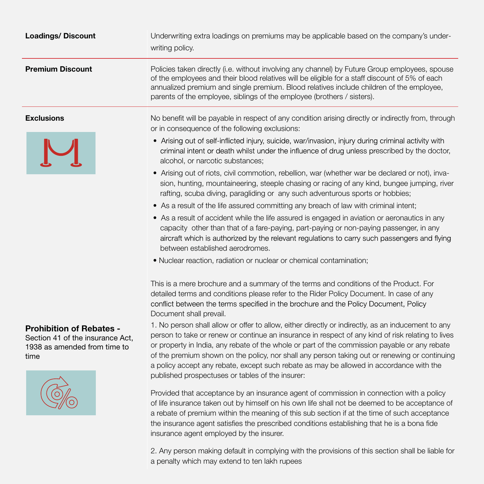| <b>Loadings/Discount</b>                                                                                    | Underwriting extra loadings on premiums may be applicable based on the company's under-<br>writing policy.                                                                                                                                                                                                                                                                                                                                                                                                                                               |
|-------------------------------------------------------------------------------------------------------------|----------------------------------------------------------------------------------------------------------------------------------------------------------------------------------------------------------------------------------------------------------------------------------------------------------------------------------------------------------------------------------------------------------------------------------------------------------------------------------------------------------------------------------------------------------|
| <b>Premium Discount</b>                                                                                     | Policies taken directly (i.e. without involving any channel) by Future Group employees, spouse<br>of the employees and their blood relatives will be eligible for a staff discount of 5% of each<br>annualized premium and single premium. Blood relatives include children of the employee,<br>parents of the employee, siblings of the employee (brothers / sisters).                                                                                                                                                                                  |
| <b>Exclusions</b>                                                                                           | No benefit will be payable in respect of any condition arising directly or indirectly from, through<br>or in consequence of the following exclusions:                                                                                                                                                                                                                                                                                                                                                                                                    |
|                                                                                                             | • Arising out of self-inflicted injury, suicide, war/invasion, injury during criminal activity with<br>criminal intent or death whilst under the influence of drug unless prescribed by the doctor,<br>alcohol, or narcotic substances;                                                                                                                                                                                                                                                                                                                  |
|                                                                                                             | • Arising out of riots, civil commotion, rebellion, war (whether war be declared or not), inva-<br>sion, hunting, mountaineering, steeple chasing or racing of any kind, bungee jumping, river<br>rafting, scuba diving, paragliding or any such adventurous sports or hobbies;                                                                                                                                                                                                                                                                          |
|                                                                                                             | • As a result of the life assured committing any breach of law with criminal intent;                                                                                                                                                                                                                                                                                                                                                                                                                                                                     |
|                                                                                                             | • As a result of accident while the life assured is engaged in aviation or aeronautics in any<br>capacity other than that of a fare-paying, part-paying or non-paying passenger, in any<br>aircraft which is authorized by the relevant regulations to carry such passengers and flying<br>between established aerodromes.                                                                                                                                                                                                                               |
|                                                                                                             | . Nuclear reaction, radiation or nuclear or chemical contamination;                                                                                                                                                                                                                                                                                                                                                                                                                                                                                      |
|                                                                                                             | This is a mere brochure and a summary of the terms and conditions of the Product. For<br>detailed terms and conditions please refer to the Rider Policy Document. In case of any<br>conflict between the terms specified in the brochure and the Policy Document, Policy<br>Document shall prevail.                                                                                                                                                                                                                                                      |
| <b>Prohibition of Rebates -</b><br>Section 41 of the insurance Act,<br>1938 as amended from time to<br>time | 1. No person shall allow or offer to allow, either directly or indirectly, as an inducement to any<br>person to take or renew or continue an insurance in respect of any kind of risk relating to lives<br>or property in India, any rebate of the whole or part of the commission payable or any rebate<br>of the premium shown on the policy, nor shall any person taking out or renewing or continuing<br>a policy accept any rebate, except such rebate as may be allowed in accordance with the<br>published prospectuses or tables of the insurer: |
|                                                                                                             | Provided that acceptance by an insurance agent of commission in connection with a policy<br>of life insurance taken out by himself on his own life shall not be deemed to be acceptance of<br>a rebate of premium within the meaning of this sub section if at the time of such acceptance<br>the insurance agent satisfies the prescribed conditions establishing that he is a bona fide<br>insurance agent employed by the insurer.                                                                                                                    |

2. Any person making default in complying with the provisions of this section shall be liable for a penalty which may extend to ten lakh rupees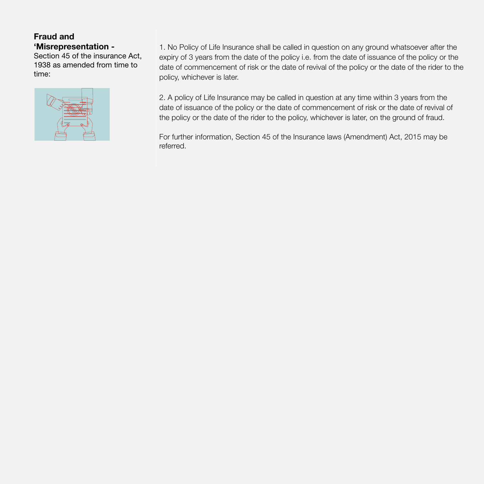### **Fraud and 'Misrepresentation -**

Section 45 of the insurance Act, 1938 as amended from time to time:

![](_page_8_Picture_2.jpeg)

1. No Policy of Life Insurance shall be called in question on any ground whatsoever after the expiry of 3 years from the date of the policy i.e. from the date of issuance of the policy or the date of commencement of risk or the date of revival of the policy or the date of the rider to the policy, whichever is later.

2. A policy of Life Insurance may be called in question at any time within 3 years from the date of issuance of the policy or the date of commencement of risk or the date of revival of the policy or the date of the rider to the policy, whichever is later, on the ground of fraud.

For further information, Section 45 of the Insurance laws (Amendment) Act, 2015 may be referred.